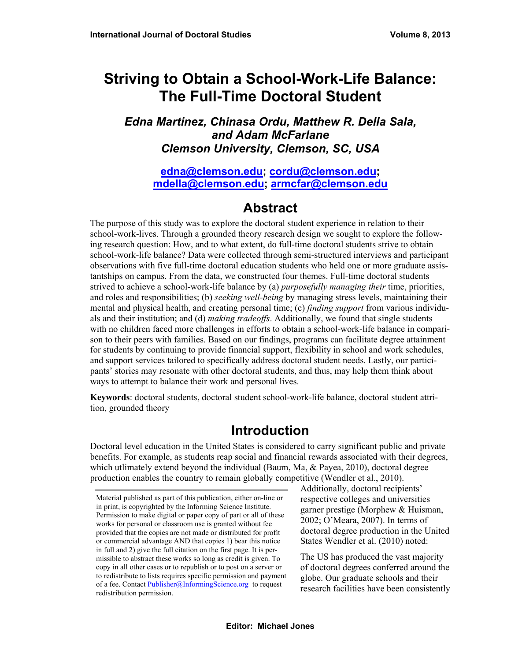# **Striving to Obtain a School-Work-Life Balance: The Full-Time Doctoral Student**

### *Edna Martinez, Chinasa Ordu, Matthew R. Della Sala, and Adam McFarlane Clemson University, Clemson, SC, USA*

**[edna@clemson.edu](mailto:edna@clemson.edu); [cordu@clemson.edu](mailto:cordu@clemson.edu); [mdella@clemson.edu;](mailto:mdella@clemson.edu) [armcfar@clemson.edu](mailto:armcfar@clemson.edu)**

## **Abstract**

The purpose of this study was to explore the doctoral student experience in relation to their school-work-lives. Through a grounded theory research design we sought to explore the following research question: How, and to what extent, do full-time doctoral students strive to obtain school-work-life balance? Data were collected through semi-structured interviews and participant observations with five full-time doctoral education students who held one or more graduate assistantships on campus. From the data, we constructed four themes. Full-time doctoral students strived to achieve a school-work-life balance by (a) *purposefully managing their* time, priorities, and roles and responsibilities; (b) *seeking well-being* by managing stress levels, maintaining their mental and physical health, and creating personal time; (c) *finding support* from various individuals and their institution; and (d) *making tradeoffs*. Additionally, we found that single students with no children faced more challenges in efforts to obtain a school-work-life balance in comparison to their peers with families. Based on our findings, programs can facilitate degree attainment for students by continuing to provide financial support, flexibility in school and work schedules, and support services tailored to specifically address doctoral student needs. Lastly, our participants' stories may resonate with other doctoral students, and thus, may help them think about ways to attempt to balance their work and personal lives.

**Keywords**: doctoral students, doctoral student school-work-life balance, doctoral student attrition, grounded theory

## **Introduction**

Doctoral level education in the United States is considered to carry significant public and private benefits. For example, as students reap social and financial rewards associated with their degrees, which utlimately extend beyond the individual (Baum, Ma, & Payea, 2010), doctoral degree production enables the country to remain globally competitive (Wendler et al., 2010).

Additionally, doctoral recipients' respective colleges and universities garner prestige (Morphew & Huisman, 2002; O'Meara, 2007). In terms of doctoral degree production in the United States Wendler et al. (2010) noted:

The US has produced the vast majority of doctoral degrees conferred around the globe. Our graduate schools and their research facilities have been consistently

Material published as part of this publication, either on-line or in print, is copyrighted by the Informing Science Institute. Permission to make digital or paper copy of part or all of these works for personal or classroom use is granted without fee provided that the copies are not made or distributed for profit or commercial advantage AND that copies 1) bear this notice in full and 2) give the full citation on the first page. It is permissible to abstract these works so long as credit is given. To copy in all other cases or to republish or to post on a server or to redistribute to lists requires specific permission and payment of a fee. Contact [Publisher@InformingScience.org](mailto:Publisher@InformingScience.org) to request redistribution permission.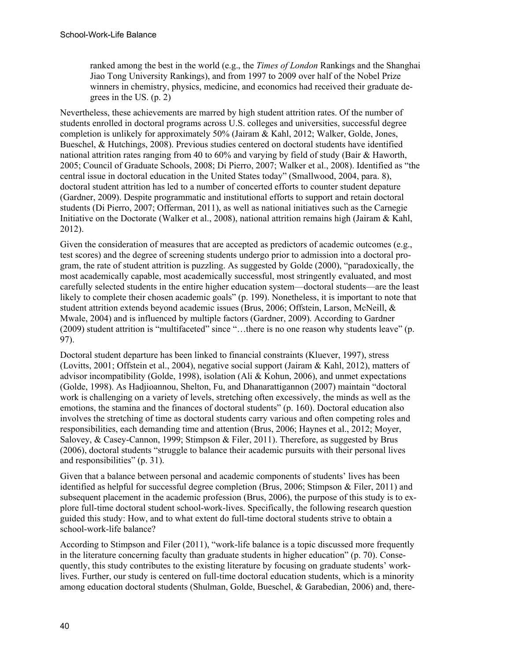ranked among the best in the world (e.g., the *Times of London* Rankings and the Shanghai Jiao Tong University Rankings), and from 1997 to 2009 over half of the Nobel Prize winners in chemistry, physics, medicine, and economics had received their graduate degrees in the US. (p. 2)

Nevertheless, these achievements are marred by high student attrition rates. Of the number of students enrolled in doctoral programs across U.S. colleges and universities, successful degree completion is unlikely for approximately 50% (Jairam & Kahl, 2012; Walker, Golde, Jones, Bueschel, & Hutchings, 2008). Previous studies centered on doctoral students have identified national attrition rates ranging from 40 to 60% and varying by field of study (Bair & Haworth, 2005; Council of Graduate Schools, 2008; Di Pierro, 2007; Walker et al., 2008). Identified as "the central issue in doctoral education in the United States today" (Smallwood, 2004, para. 8), doctoral student attrition has led to a number of concerted efforts to counter student depature (Gardner, 2009). Despite programmatic and institutional efforts to support and retain doctoral students (Di Pierro, 2007; Offerman, 2011), as well as national initiatives such as the Carnegie Initiative on the Doctorate (Walker et al., 2008), national attrition remains high (Jairam & Kahl, 2012).

Given the consideration of measures that are accepted as predictors of academic outcomes (e.g., test scores) and the degree of screening students undergo prior to admission into a doctoral program, the rate of student attrition is puzzling. As suggested by Golde (2000), "paradoxically, the most academically capable, most academically successful, most stringently evaluated, and most carefully selected students in the entire higher education system—doctoral students—are the least likely to complete their chosen academic goals" (p. 199). Nonetheless, it is important to note that student attrition extends beyond academic issues (Brus, 2006; Offstein, Larson, McNeill, & Mwale, 2004) and is influenced by multiple factors (Gardner, 2009). According to Gardner (2009) student attrition is "multifaceted" since "…there is no one reason why students leave" (p. 97).

Doctoral student departure has been linked to financial constraints (Kluever, 1997), stress (Lovitts, 2001; Offstein et al., 2004), negative social support (Jairam & Kahl, 2012), matters of advisor incompatibility (Golde, 1998), isolation (Ali & Kohun, 2006), and unmet expectations (Golde, 1998). As Hadjioannou, Shelton, Fu, and Dhanarattigannon (2007) maintain "doctoral work is challenging on a variety of levels, stretching often excessively, the minds as well as the emotions, the stamina and the finances of doctoral students" (p. 160). Doctoral education also involves the stretching of time as doctoral students carry various and often competing roles and responsibilities, each demanding time and attention (Brus, 2006; Haynes et al., 2012; Moyer, Salovey, & Casey-Cannon, 1999; Stimpson & Filer, 2011). Therefore, as suggested by Brus (2006), doctoral students "struggle to balance their academic pursuits with their personal lives and responsibilities" (p. 31).

Given that a balance between personal and academic components of students' lives has been identified as helpful for successful degree completion (Brus, 2006; Stimpson & Filer, 2011) and subsequent placement in the academic profession (Brus, 2006), the purpose of this study is to explore full-time doctoral student school-work-lives. Specifically, the following research question guided this study: How, and to what extent do full-time doctoral students strive to obtain a school-work-life balance?

According to Stimpson and Filer (2011), "work-life balance is a topic discussed more frequently in the literature concerning faculty than graduate students in higher education" (p. 70). Consequently, this study contributes to the existing literature by focusing on graduate students' worklives. Further, our study is centered on full-time doctoral education students, which is a minority among education doctoral students (Shulman, Golde, Bueschel, & Garabedian, 2006) and, there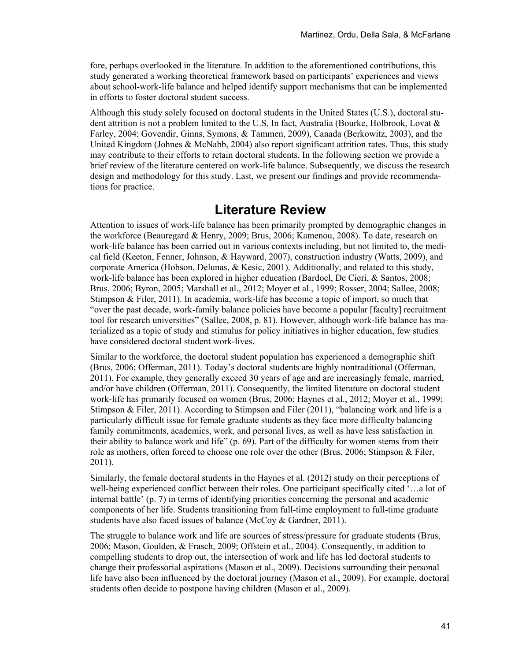fore, perhaps overlooked in the literature. In addition to the aforementioned contributions, this study generated a working theoretical framework based on participants' experiences and views about school-work-life balance and helped identify support mechanisms that can be implemented in efforts to foster doctoral student success.

Although this study solely focused on doctoral students in the United States (U.S.), doctoral student attrition is not a problem limited to the U.S. In fact, Australia (Bourke, Holbrook, Lovat & Farley, 2004; Govendir, Ginns, Symons, & Tammen, 2009), Canada (Berkowitz, 2003), and the United Kingdom (Johnes & McNabb, 2004) also report significant attrition rates. Thus, this study may contribute to their efforts to retain doctoral students. In the following section we provide a brief review of the literature centered on work-life balance. Subsequently, we discuss the research design and methodology for this study. Last, we present our findings and provide recommendations for practice.

### **Literature Review**

Attention to issues of work-life balance has been primarily prompted by demographic changes in the workforce (Beauregard & Henry, 2009; Brus, 2006; Kamenou, 2008). To date, research on work-life balance has been carried out in various contexts including, but not limited to, the medical field (Keeton, Fenner, Johnson, & Hayward, 2007), construction industry (Watts, 2009), and corporate America (Hobson, Delunas, & Kesic, 2001). Additionally, and related to this study, work-life balance has been explored in higher education (Bardoel, De Cieri, & Santos, 2008; Brus, 2006; Byron, 2005; Marshall et al., 2012; Moyer et al., 1999; Rosser, 2004; Sallee, 2008; Stimpson & Filer, 2011). In academia, work-life has become a topic of import, so much that "over the past decade, work-family balance policies have become a popular [faculty] recruitment tool for research universities" (Sallee, 2008, p. 81). However, although work-life balance has materialized as a topic of study and stimulus for policy initiatives in higher education, few studies have considered doctoral student work-lives.

Similar to the workforce, the doctoral student population has experienced a demographic shift (Brus, 2006; Offerman, 2011). Today's doctoral students are highly nontraditional (Offerman, 2011). For example, they generally exceed 30 years of age and are increasingly female, married, and/or have children (Offerman, 2011). Consequently, the limited literature on doctoral student work-life has primarily focused on women (Brus, 2006; Haynes et al., 2012; Moyer et al., 1999; Stimpson & Filer, 2011). According to Stimpson and Filer (2011), "balancing work and life is a particularly difficult issue for female graduate students as they face more difficulty balancing family commitments, academics, work, and personal lives, as well as have less satisfaction in their ability to balance work and life" (p. 69). Part of the difficulty for women stems from their role as mothers, often forced to choose one role over the other (Brus, 2006; Stimpson & Filer, 2011).

Similarly, the female doctoral students in the Haynes et al. (2012) study on their perceptions of well-being experienced conflict between their roles. One participant specifically cited '…a lot of internal battle' (p. 7) in terms of identifying priorities concerning the personal and academic components of her life. Students transitioning from full-time employment to full-time graduate students have also faced issues of balance (McCoy & Gardner, 2011).

The struggle to balance work and life are sources of stress/pressure for graduate students (Brus, 2006; Mason, Goulden, & Frasch, 2009; Offstein et al., 2004). Consequently, in addition to compelling students to drop out, the intersection of work and life has led doctoral students to change their professorial aspirations (Mason et al., 2009). Decisions surrounding their personal life have also been influenced by the doctoral journey (Mason et al., 2009). For example, doctoral students often decide to postpone having children (Mason et al., 2009).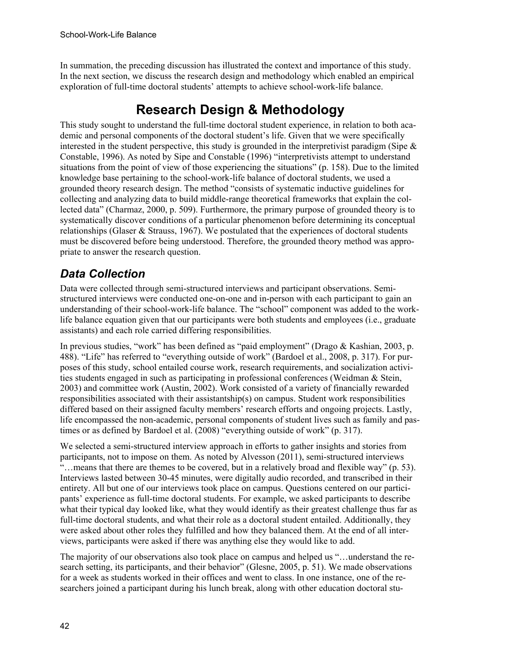In summation, the preceding discussion has illustrated the context and importance of this study. In the next section, we discuss the research design and methodology which enabled an empirical exploration of full-time doctoral students' attempts to achieve school-work-life balance.

# **Research Design & Methodology**

This study sought to understand the full-time doctoral student experience, in relation to both academic and personal components of the doctoral student's life. Given that we were specifically interested in the student perspective, this study is grounded in the interpretivist paradigm (Sipe  $\&$ Constable, 1996). As noted by Sipe and Constable (1996) "interpretivists attempt to understand situations from the point of view of those experiencing the situations" (p. 158). Due to the limited knowledge base pertaining to the school-work-life balance of doctoral students, we used a grounded theory research design. The method "consists of systematic inductive guidelines for collecting and analyzing data to build middle-range theoretical frameworks that explain the collected data" (Charmaz, 2000, p. 509). Furthermore, the primary purpose of grounded theory is to systematically discover conditions of a particular phenomenon before determining its conceptual relationships (Glaser  $&$  Strauss, 1967). We postulated that the experiences of doctoral students must be discovered before being understood. Therefore, the grounded theory method was appropriate to answer the research question.

## *Data Collection*

Data were collected through semi-structured interviews and participant observations. Semistructured interviews were conducted one-on-one and in-person with each participant to gain an understanding of their school-work-life balance. The "school" component was added to the worklife balance equation given that our participants were both students and employees (i.e., graduate assistants) and each role carried differing responsibilities.

In previous studies, "work" has been defined as "paid employment" (Drago & Kashian, 2003, p. 488). "Life" has referred to "everything outside of work" (Bardoel et al., 2008, p. 317). For purposes of this study, school entailed course work, research requirements, and socialization activities students engaged in such as participating in professional conferences (Weidman & Stein, 2003) and committee work (Austin, 2002). Work consisted of a variety of financially rewarded responsibilities associated with their assistantship(s) on campus. Student work responsibilities differed based on their assigned faculty members' research efforts and ongoing projects. Lastly, life encompassed the non-academic, personal components of student lives such as family and pastimes or as defined by Bardoel et al. (2008) "everything outside of work" (p. 317).

We selected a semi-structured interview approach in efforts to gather insights and stories from participants, not to impose on them. As noted by Alvesson (2011), semi-structured interviews "…means that there are themes to be covered, but in a relatively broad and flexible way" (p. 53). Interviews lasted between 30-45 minutes, were digitally audio recorded, and transcribed in their entirety. All but one of our interviews took place on campus. Questions centered on our participants' experience as full-time doctoral students. For example, we asked participants to describe what their typical day looked like, what they would identify as their greatest challenge thus far as full-time doctoral students, and what their role as a doctoral student entailed. Additionally, they were asked about other roles they fulfilled and how they balanced them. At the end of all interviews, participants were asked if there was anything else they would like to add.

The majority of our observations also took place on campus and helped us "…understand the research setting, its participants, and their behavior" (Glesne, 2005, p. 51). We made observations for a week as students worked in their offices and went to class. In one instance, one of the researchers joined a participant during his lunch break, along with other education doctoral stu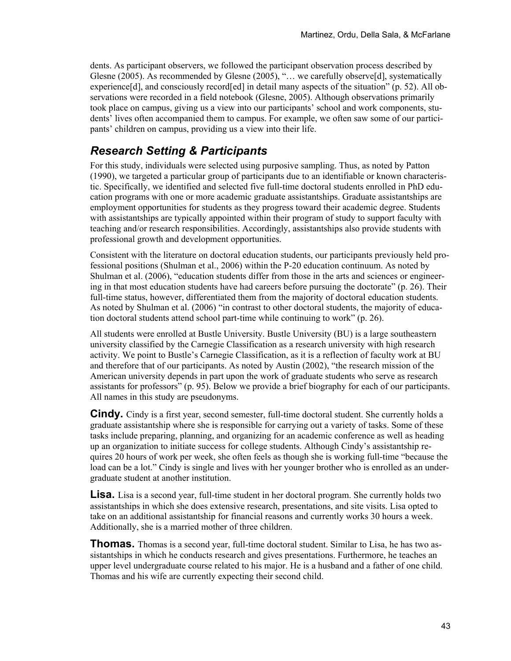dents. As participant observers, we followed the participant observation process described by Glesne (2005). As recommended by Glesne (2005), "… we carefully observe[d], systematically experience[d], and consciously record[ed] in detail many aspects of the situation" (p. 52). All observations were recorded in a field notebook (Glesne, 2005). Although observations primarily took place on campus, giving us a view into our participants' school and work components, students' lives often accompanied them to campus. For example, we often saw some of our participants' children on campus, providing us a view into their life.

### *Research Setting & Participants*

For this study, individuals were selected using purposive sampling. Thus, as noted by Patton (1990), we targeted a particular group of participants due to an identifiable or known characteristic. Specifically, we identified and selected five full-time doctoral students enrolled in PhD education programs with one or more academic graduate assistantships. Graduate assistantships are employment opportunities for students as they progress toward their academic degree. Students with assistantships are typically appointed within their program of study to support faculty with teaching and/or research responsibilities. Accordingly, assistantships also provide students with professional growth and development opportunities.

Consistent with the literature on doctoral education students, our participants previously held professional positions (Shulman et al., 2006) within the P-20 education continuum. As noted by Shulman et al. (2006), "education students differ from those in the arts and sciences or engineering in that most education students have had careers before pursuing the doctorate" (p. 26). Their full-time status, however, differentiated them from the majority of doctoral education students. As noted by Shulman et al. (2006) "in contrast to other doctoral students, the majority of education doctoral students attend school part-time while continuing to work" (p. 26).

All students were enrolled at Bustle University. Bustle University (BU) is a large southeastern university classified by the Carnegie Classification as a research university with high research activity. We point to Bustle's Carnegie Classification, as it is a reflection of faculty work at BU and therefore that of our participants. As noted by Austin (2002), "the research mission of the American university depends in part upon the work of graduate students who serve as research assistants for professors" (p. 95). Below we provide a brief biography for each of our participants. All names in this study are pseudonyms.

**Cindy.** Cindy is a first year, second semester, full-time doctoral student. She currently holds a graduate assistantship where she is responsible for carrying out a variety of tasks. Some of these tasks include preparing, planning, and organizing for an academic conference as well as heading up an organization to initiate success for college students. Although Cindy's assistantship requires 20 hours of work per week, she often feels as though she is working full-time "because the load can be a lot." Cindy is single and lives with her younger brother who is enrolled as an undergraduate student at another institution.

**Lisa.** Lisa is a second year, full-time student in her doctoral program. She currently holds two assistantships in which she does extensive research, presentations, and site visits. Lisa opted to take on an additional assistantship for financial reasons and currently works 30 hours a week. Additionally, she is a married mother of three children.

**Thomas.** Thomas is a second year, full-time doctoral student. Similar to Lisa, he has two assistantships in which he conducts research and gives presentations. Furthermore, he teaches an upper level undergraduate course related to his major. He is a husband and a father of one child. Thomas and his wife are currently expecting their second child.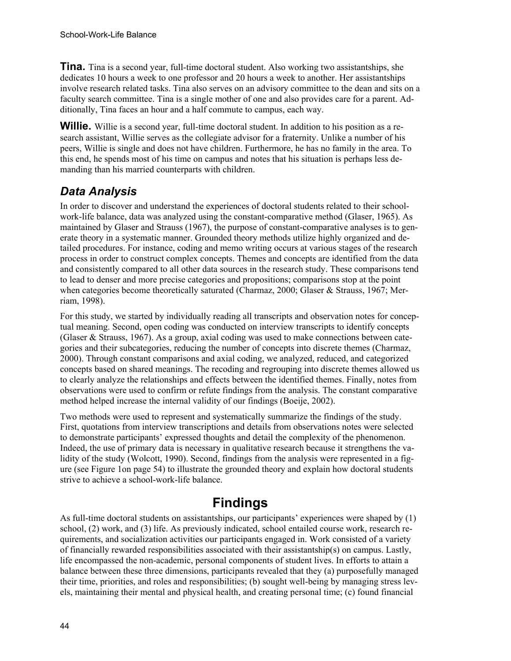**Tina.** Tina is a second year, full-time doctoral student. Also working two assistantships, she dedicates 10 hours a week to one professor and 20 hours a week to another. Her assistantships involve research related tasks. Tina also serves on an advisory committee to the dean and sits on a faculty search committee. Tina is a single mother of one and also provides care for a parent. Additionally, Tina faces an hour and a half commute to campus, each way.

**Willie.** Willie is a second year, full-time doctoral student. In addition to his position as a research assistant, Willie serves as the collegiate advisor for a fraternity. Unlike a number of his peers, Willie is single and does not have children. Furthermore, he has no family in the area. To this end, he spends most of his time on campus and notes that his situation is perhaps less demanding than his married counterparts with children.

## *Data Analysis*

In order to discover and understand the experiences of doctoral students related to their schoolwork-life balance, data was analyzed using the constant-comparative method (Glaser, 1965). As maintained by Glaser and Strauss (1967), the purpose of constant-comparative analyses is to generate theory in a systematic manner. Grounded theory methods utilize highly organized and detailed procedures. For instance, coding and memo writing occurs at various stages of the research process in order to construct complex concepts. Themes and concepts are identified from the data and consistently compared to all other data sources in the research study. These comparisons tend to lead to denser and more precise categories and propositions; comparisons stop at the point when categories become theoretically saturated (Charmaz, 2000; Glaser & Strauss, 1967; Merriam, 1998).

For this study, we started by individually reading all transcripts and observation notes for conceptual meaning. Second, open coding was conducted on interview transcripts to identify concepts (Glaser & Strauss, 1967). As a group, axial coding was used to make connections between categories and their subcategories, reducing the number of concepts into discrete themes (Charmaz, 2000). Through constant comparisons and axial coding, we analyzed, reduced, and categorized concepts based on shared meanings. The recoding and regrouping into discrete themes allowed us to clearly analyze the relationships and effects between the identified themes. Finally, notes from observations were used to confirm or refute findings from the analysis. The constant comparative method helped increase the internal validity of our findings (Boeije, 2002).

Two methods were used to represent and systematically summarize the findings of the study. First, quotations from interview transcriptions and details from observations notes were selected to demonstrate participants' expressed thoughts and detail the complexity of the phenomenon. Indeed, the use of primary data is necessary in qualitative research because it strengthens the validity of the study (Wolcott, 1990). Second, findings from the analysis were represented in a figure (see Figure 1on page 54) to illustrate the grounded theory and explain how doctoral students strive to achieve a school-work-life balance.

## **Findings**

As full-time doctoral students on assistantships, our participants' experiences were shaped by (1) school, (2) work, and (3) life. As previously indicated, school entailed course work, research requirements, and socialization activities our participants engaged in. Work consisted of a variety of financially rewarded responsibilities associated with their assistantship(s) on campus. Lastly, life encompassed the non-academic, personal components of student lives. In efforts to attain a balance between these three dimensions, participants revealed that they (a) purposefully managed their time, priorities, and roles and responsibilities; (b) sought well-being by managing stress levels, maintaining their mental and physical health, and creating personal time; (c) found financial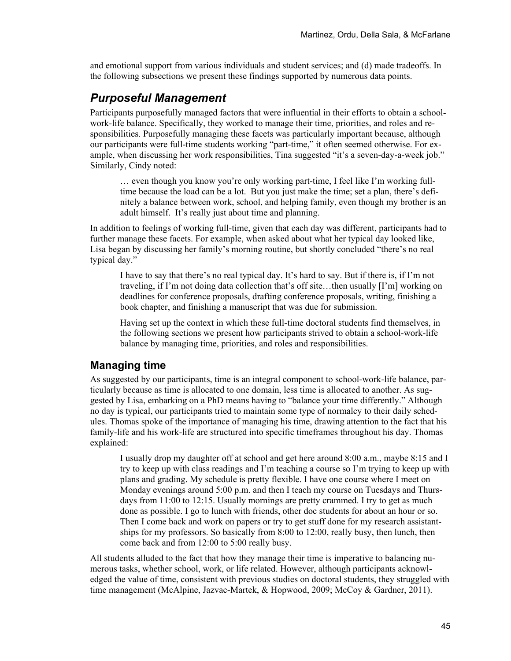and emotional support from various individuals and student services; and (d) made tradeoffs. In the following subsections we present these findings supported by numerous data points.

### *Purposeful Management*

Participants purposefully managed factors that were influential in their efforts to obtain a schoolwork-life balance. Specifically, they worked to manage their time, priorities, and roles and responsibilities. Purposefully managing these facets was particularly important because, although our participants were full-time students working "part-time," it often seemed otherwise. For example, when discussing her work responsibilities, Tina suggested "it's a seven-day-a-week job." Similarly, Cindy noted:

… even though you know you're only working part-time, I feel like I'm working fulltime because the load can be a lot. But you just make the time; set a plan, there's definitely a balance between work, school, and helping family, even though my brother is an adult himself. It's really just about time and planning.

In addition to feelings of working full-time, given that each day was different, participants had to further manage these facets. For example, when asked about what her typical day looked like, Lisa began by discussing her family's morning routine, but shortly concluded "there's no real typical day."

I have to say that there's no real typical day. It's hard to say. But if there is, if I'm not traveling, if I'm not doing data collection that's off site…then usually [I'm] working on deadlines for conference proposals, drafting conference proposals, writing, finishing a book chapter, and finishing a manuscript that was due for submission.

Having set up the context in which these full-time doctoral students find themselves, in the following sections we present how participants strived to obtain a school-work-life balance by managing time, priorities, and roles and responsibilities.

#### **Managing time**

As suggested by our participants, time is an integral component to school-work-life balance, particularly because as time is allocated to one domain, less time is allocated to another. As suggested by Lisa, embarking on a PhD means having to "balance your time differently." Although no day is typical, our participants tried to maintain some type of normalcy to their daily schedules. Thomas spoke of the importance of managing his time, drawing attention to the fact that his family-life and his work-life are structured into specific timeframes throughout his day. Thomas explained:

I usually drop my daughter off at school and get here around 8:00 a.m., maybe 8:15 and I try to keep up with class readings and I'm teaching a course so I'm trying to keep up with plans and grading. My schedule is pretty flexible. I have one course where I meet on Monday evenings around 5:00 p.m. and then I teach my course on Tuesdays and Thursdays from 11:00 to 12:15. Usually mornings are pretty crammed. I try to get as much done as possible. I go to lunch with friends, other doc students for about an hour or so. Then I come back and work on papers or try to get stuff done for my research assistantships for my professors. So basically from 8:00 to 12:00, really busy, then lunch, then come back and from 12:00 to 5:00 really busy.

All students alluded to the fact that how they manage their time is imperative to balancing numerous tasks, whether school, work, or life related. However, although participants acknowledged the value of time, consistent with previous studies on doctoral students, they struggled with time management (McAlpine, Jazvac-Martek, & Hopwood, 2009; McCoy & Gardner, 2011).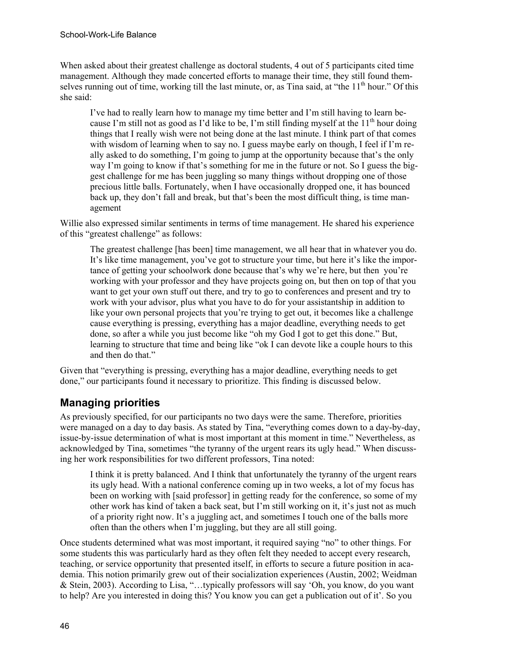When asked about their greatest challenge as doctoral students, 4 out of 5 participants cited time management. Although they made concerted efforts to manage their time, they still found themselves running out of time, working till the last minute, or, as Tina said, at "the  $11<sup>th</sup>$  hour." Of this she said:

I've had to really learn how to manage my time better and I'm still having to learn because I'm still not as good as I'd like to be, I'm still finding myself at the  $11<sup>th</sup>$  hour doing things that I really wish were not being done at the last minute. I think part of that comes with wisdom of learning when to say no. I guess maybe early on though, I feel if I'm really asked to do something, I'm going to jump at the opportunity because that's the only way I'm going to know if that's something for me in the future or not. So I guess the biggest challenge for me has been juggling so many things without dropping one of those precious little balls. Fortunately, when I have occasionally dropped one, it has bounced back up, they don't fall and break, but that's been the most difficult thing, is time management

Willie also expressed similar sentiments in terms of time management. He shared his experience of this "greatest challenge" as follows:

The greatest challenge [has been] time management, we all hear that in whatever you do. It's like time management, you've got to structure your time, but here it's like the importance of getting your schoolwork done because that's why we're here, but then you're working with your professor and they have projects going on, but then on top of that you want to get your own stuff out there, and try to go to conferences and present and try to work with your advisor, plus what you have to do for your assistantship in addition to like your own personal projects that you're trying to get out, it becomes like a challenge cause everything is pressing, everything has a major deadline, everything needs to get done, so after a while you just become like "oh my God I got to get this done." But, learning to structure that time and being like "ok I can devote like a couple hours to this and then do that."

Given that "everything is pressing, everything has a major deadline, everything needs to get done," our participants found it necessary to prioritize. This finding is discussed below.

### **Managing priorities**

As previously specified, for our participants no two days were the same. Therefore, priorities were managed on a day to day basis. As stated by Tina, "everything comes down to a day-by-day, issue-by-issue determination of what is most important at this moment in time." Nevertheless, as acknowledged by Tina, sometimes "the tyranny of the urgent rears its ugly head." When discussing her work responsibilities for two different professors, Tina noted:

I think it is pretty balanced. And I think that unfortunately the tyranny of the urgent rears its ugly head. With a national conference coming up in two weeks, a lot of my focus has been on working with [said professor] in getting ready for the conference, so some of my other work has kind of taken a back seat, but I'm still working on it, it's just not as much of a priority right now. It's a juggling act, and sometimes I touch one of the balls more often than the others when I'm juggling, but they are all still going.

Once students determined what was most important, it required saying "no" to other things. For some students this was particularly hard as they often felt they needed to accept every research, teaching, or service opportunity that presented itself, in efforts to secure a future position in academia. This notion primarily grew out of their socialization experiences (Austin, 2002; Weidman & Stein, 2003). According to Lisa, "…typically professors will say 'Oh, you know, do you want to help? Are you interested in doing this? You know you can get a publication out of it'. So you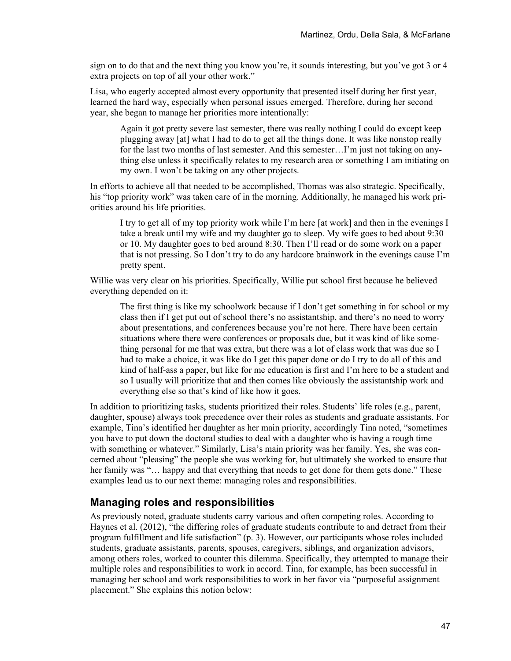sign on to do that and the next thing you know you're, it sounds interesting, but you've got 3 or 4 extra projects on top of all your other work."

Lisa, who eagerly accepted almost every opportunity that presented itself during her first year, learned the hard way, especially when personal issues emerged. Therefore, during her second year, she began to manage her priorities more intentionally:

Again it got pretty severe last semester, there was really nothing I could do except keep plugging away [at] what I had to do to get all the things done. It was like nonstop really for the last two months of last semester. And this semester...I'm just not taking on anything else unless it specifically relates to my research area or something I am initiating on my own. I won't be taking on any other projects.

In efforts to achieve all that needed to be accomplished, Thomas was also strategic. Specifically, his "top priority work" was taken care of in the morning. Additionally, he managed his work priorities around his life priorities.

I try to get all of my top priority work while I'm here [at work] and then in the evenings I take a break until my wife and my daughter go to sleep. My wife goes to bed about 9:30 or 10. My daughter goes to bed around 8:30. Then I'll read or do some work on a paper that is not pressing. So I don't try to do any hardcore brainwork in the evenings cause I'm pretty spent.

Willie was very clear on his priorities. Specifically, Willie put school first because he believed everything depended on it:

The first thing is like my schoolwork because if I don't get something in for school or my class then if I get put out of school there's no assistantship, and there's no need to worry about presentations, and conferences because you're not here. There have been certain situations where there were conferences or proposals due, but it was kind of like something personal for me that was extra, but there was a lot of class work that was due so I had to make a choice, it was like do I get this paper done or do I try to do all of this and kind of half-ass a paper, but like for me education is first and I'm here to be a student and so I usually will prioritize that and then comes like obviously the assistantship work and everything else so that's kind of like how it goes.

In addition to prioritizing tasks, students prioritized their roles. Students' life roles (e.g., parent, daughter, spouse) always took precedence over their roles as students and graduate assistants. For example, Tina's identified her daughter as her main priority, accordingly Tina noted, "sometimes you have to put down the doctoral studies to deal with a daughter who is having a rough time with something or whatever." Similarly, Lisa's main priority was her family. Yes, she was concerned about "pleasing" the people she was working for, but ultimately she worked to ensure that her family was "... happy and that everything that needs to get done for them gets done." These examples lead us to our next theme: managing roles and responsibilities.

#### **Managing roles and responsibilities**

As previously noted, graduate students carry various and often competing roles. According to Haynes et al. (2012), "the differing roles of graduate students contribute to and detract from their program fulfillment and life satisfaction" (p. 3). However, our participants whose roles included students, graduate assistants, parents, spouses, caregivers, siblings, and organization advisors, among others roles, worked to counter this dilemma. Specifically, they attempted to manage their multiple roles and responsibilities to work in accord. Tina, for example, has been successful in managing her school and work responsibilities to work in her favor via "purposeful assignment placement." She explains this notion below: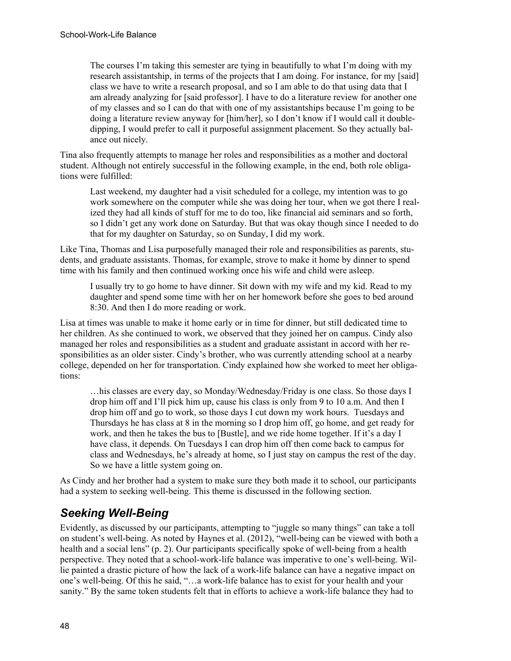The courses I'm taking this semester are tying in beautifully to what I'm doing with my research assistantship, in terms of the projects that I am doing. For instance, for my [said] class we have to write a research proposal, and so I am able to do that using data that I am already analyzing for [said professor]. I have to do a literature review for another one of my classes and so I can do that with one of my assistantships because I'm going to be doing a literature review anyway for [him/her], so I don't know if I would call it doubledipping, I would prefer to call it purposeful assignment placement. So they actually balance out nicely.

Tina also frequently attempts to manage her roles and responsibilities as a mother and doctoral student. Although not entirely successful in the following example, in the end, both role obligations were fulfilled:

Last weekend, my daughter had a visit scheduled for a college, my intention was to go work somewhere on the computer while she was doing her tour, when we got there I realized they had all kinds of stuff for me to do too, like financial aid seminars and so forth, so I didn't get any work done on Saturday. But that was okay though since I needed to do that for my daughter on Saturday, so on Sunday, I did my work.

Like Tina, Thomas and Lisa purposefully managed their role and responsibilities as parents, students, and graduate assistants. Thomas, for example, strove to make it home by dinner to spend time with his family and then continued working once his wife and child were asleep.

I usually try to go home to have dinner. Sit down with my wife and my kid. Read to my daughter and spend some time with her on her homework before she goes to bed around 8:30. And then I do more reading or work.

Lisa at times was unable to make it home early or in time for dinner, but still dedicated time to her children. As she continued to work, we observed that they joined her on campus. Cindy also managed her roles and responsibilities as a student and graduate assistant in accord with her responsibilities as an older sister. Cindy's brother, who was currently attending school at a nearby college, depended on her for transportation. Cindy explained how she worked to meet her obligations:

…his classes are every day, so Monday/Wednesday/Friday is one class. So those days I drop him off and I'll pick him up, cause his class is only from 9 to 10 a.m. And then I drop him off and go to work, so those days I cut down my work hours. Tuesdays and Thursdays he has class at 8 in the morning so I drop him off, go home, and get ready for work, and then he takes the bus to [Bustle], and we ride home together. If it's a day I have class, it depends. On Tuesdays I can drop him off then come back to campus for class and Wednesdays, he's already at home, so I just stay on campus the rest of the day. So we have a little system going on.

As Cindy and her brother had a system to make sure they both made it to school, our participants had a system to seeking well-being. This theme is discussed in the following section.

### *Seeking Well-Being*

Evidently, as discussed by our participants, attempting to "juggle so many things" can take a toll on student's well-being. As noted by Haynes et al. (2012), "well-being can be viewed with both a health and a social lens" (p. 2). Our participants specifically spoke of well-being from a health perspective. They noted that a school-work-life balance was imperative to one's well-being. Willie painted a drastic picture of how the lack of a work-life balance can have a negative impact on one's well-being. Of this he said, "…a work-life balance has to exist for your health and your sanity." By the same token students felt that in efforts to achieve a work-life balance they had to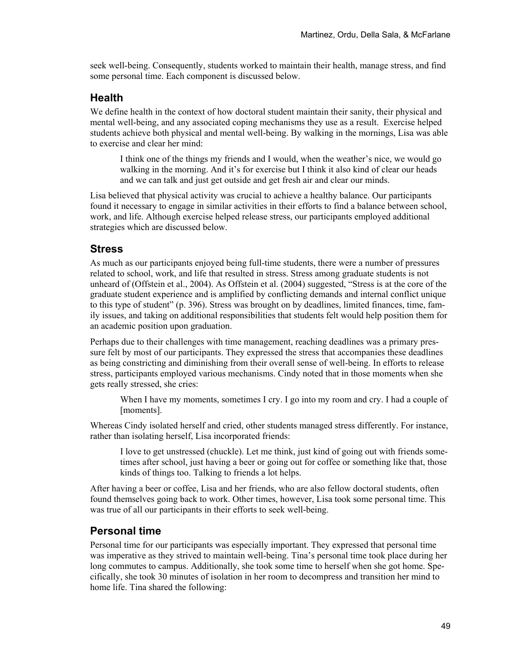seek well-being. Consequently, students worked to maintain their health, manage stress, and find some personal time. Each component is discussed below.

#### **Health**

We define health in the context of how doctoral student maintain their sanity, their physical and mental well-being, and any associated coping mechanisms they use as a result. Exercise helped students achieve both physical and mental well-being. By walking in the mornings, Lisa was able to exercise and clear her mind:

I think one of the things my friends and I would, when the weather's nice, we would go walking in the morning. And it's for exercise but I think it also kind of clear our heads and we can talk and just get outside and get fresh air and clear our minds.

Lisa believed that physical activity was crucial to achieve a healthy balance. Our participants found it necessary to engage in similar activities in their efforts to find a balance between school, work, and life. Although exercise helped release stress, our participants employed additional strategies which are discussed below.

#### **Stress**

As much as our participants enjoyed being full-time students, there were a number of pressures related to school, work, and life that resulted in stress. Stress among graduate students is not unheard of (Offstein et al., 2004). As Offstein et al. (2004) suggested, "Stress is at the core of the graduate student experience and is amplified by conflicting demands and internal conflict unique to this type of student" (p. 396). Stress was brought on by deadlines, limited finances, time, family issues, and taking on additional responsibilities that students felt would help position them for an academic position upon graduation.

Perhaps due to their challenges with time management, reaching deadlines was a primary pressure felt by most of our participants. They expressed the stress that accompanies these deadlines as being constricting and diminishing from their overall sense of well-being. In efforts to release stress, participants employed various mechanisms. Cindy noted that in those moments when she gets really stressed, she cries:

When I have my moments, sometimes I cry. I go into my room and cry. I had a couple of [moments].

Whereas Cindy isolated herself and cried, other students managed stress differently. For instance, rather than isolating herself, Lisa incorporated friends:

I love to get unstressed (chuckle). Let me think, just kind of going out with friends sometimes after school, just having a beer or going out for coffee or something like that, those kinds of things too. Talking to friends a lot helps.

After having a beer or coffee, Lisa and her friends, who are also fellow doctoral students, often found themselves going back to work. Other times, however, Lisa took some personal time. This was true of all our participants in their efforts to seek well-being.

#### **Personal time**

Personal time for our participants was especially important. They expressed that personal time was imperative as they strived to maintain well-being. Tina's personal time took place during her long commutes to campus. Additionally, she took some time to herself when she got home. Specifically, she took 30 minutes of isolation in her room to decompress and transition her mind to home life. Tina shared the following: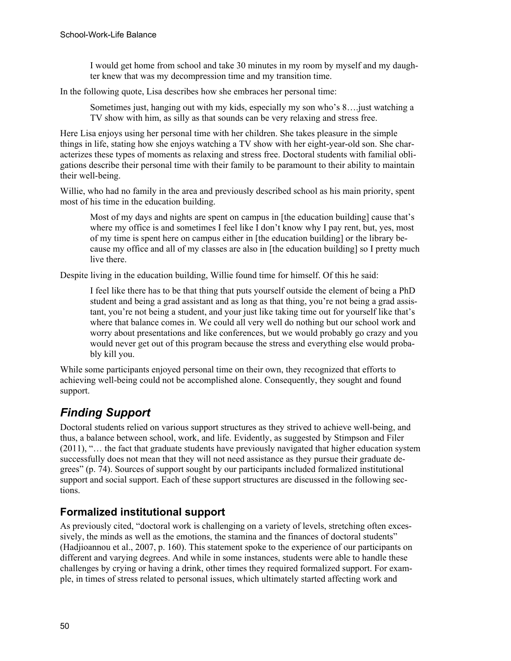I would get home from school and take 30 minutes in my room by myself and my daughter knew that was my decompression time and my transition time.

In the following quote, Lisa describes how she embraces her personal time:

Sometimes just, hanging out with my kids, especially my son who's 8….just watching a TV show with him, as silly as that sounds can be very relaxing and stress free.

Here Lisa enjoys using her personal time with her children. She takes pleasure in the simple things in life, stating how she enjoys watching a TV show with her eight-year-old son. She characterizes these types of moments as relaxing and stress free. Doctoral students with familial obligations describe their personal time with their family to be paramount to their ability to maintain their well-being.

Willie, who had no family in the area and previously described school as his main priority, spent most of his time in the education building.

Most of my days and nights are spent on campus in [the education building] cause that's where my office is and sometimes I feel like I don't know why I pay rent, but, yes, most of my time is spent here on campus either in [the education building] or the library because my office and all of my classes are also in [the education building] so I pretty much live there.

Despite living in the education building, Willie found time for himself. Of this he said:

I feel like there has to be that thing that puts yourself outside the element of being a PhD student and being a grad assistant and as long as that thing, you're not being a grad assistant, you're not being a student, and your just like taking time out for yourself like that's where that balance comes in. We could all very well do nothing but our school work and worry about presentations and like conferences, but we would probably go crazy and you would never get out of this program because the stress and everything else would probably kill you.

While some participants enjoyed personal time on their own, they recognized that efforts to achieving well-being could not be accomplished alone. Consequently, they sought and found support.

## *Finding Support*

Doctoral students relied on various support structures as they strived to achieve well-being, and thus, a balance between school, work, and life. Evidently, as suggested by Stimpson and Filer (2011), "… the fact that graduate students have previously navigated that higher education system successfully does not mean that they will not need assistance as they pursue their graduate degrees" (p. 74). Sources of support sought by our participants included formalized institutional support and social support. Each of these support structures are discussed in the following sections.

### **Formalized institutional support**

As previously cited, "doctoral work is challenging on a variety of levels, stretching often excessively, the minds as well as the emotions, the stamina and the finances of doctoral students" (Hadjioannou et al., 2007, p. 160). This statement spoke to the experience of our participants on different and varying degrees. And while in some instances, students were able to handle these challenges by crying or having a drink, other times they required formalized support. For example, in times of stress related to personal issues, which ultimately started affecting work and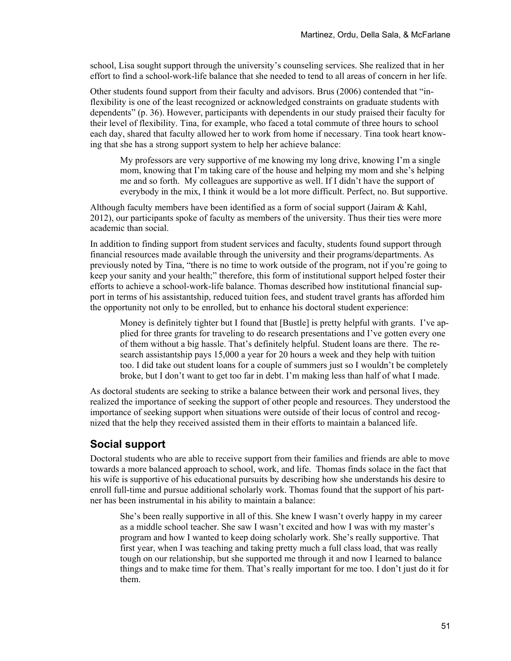school, Lisa sought support through the university's counseling services. She realized that in her effort to find a school-work-life balance that she needed to tend to all areas of concern in her life.

Other students found support from their faculty and advisors. Brus (2006) contended that "inflexibility is one of the least recognized or acknowledged constraints on graduate students with dependents" (p. 36). However, participants with dependents in our study praised their faculty for their level of flexibility. Tina, for example, who faced a total commute of three hours to school each day, shared that faculty allowed her to work from home if necessary. Tina took heart knowing that she has a strong support system to help her achieve balance:

My professors are very supportive of me knowing my long drive, knowing I'm a single mom, knowing that I'm taking care of the house and helping my mom and she's helping me and so forth. My colleagues are supportive as well. If I didn't have the support of everybody in the mix, I think it would be a lot more difficult. Perfect, no. But supportive.

Although faculty members have been identified as a form of social support (Jairam & Kahl, 2012), our participants spoke of faculty as members of the university. Thus their ties were more academic than social.

In addition to finding support from student services and faculty, students found support through financial resources made available through the university and their programs/departments. As previously noted by Tina, "there is no time to work outside of the program, not if you're going to keep your sanity and your health;" therefore, this form of institutional support helped foster their efforts to achieve a school-work-life balance. Thomas described how institutional financial support in terms of his assistantship, reduced tuition fees, and student travel grants has afforded him the opportunity not only to be enrolled, but to enhance his doctoral student experience:

Money is definitely tighter but I found that [Bustle] is pretty helpful with grants. I've applied for three grants for traveling to do research presentations and I've gotten every one of them without a big hassle. That's definitely helpful. Student loans are there. The research assistantship pays 15,000 a year for 20 hours a week and they help with tuition too. I did take out student loans for a couple of summers just so I wouldn't be completely broke, but I don't want to get too far in debt. I'm making less than half of what I made.

As doctoral students are seeking to strike a balance between their work and personal lives, they realized the importance of seeking the support of other people and resources. They understood the importance of seeking support when situations were outside of their locus of control and recognized that the help they received assisted them in their efforts to maintain a balanced life.

### **Social support**

Doctoral students who are able to receive support from their families and friends are able to move towards a more balanced approach to school, work, and life. Thomas finds solace in the fact that his wife is supportive of his educational pursuits by describing how she understands his desire to enroll full-time and pursue additional scholarly work. Thomas found that the support of his partner has been instrumental in his ability to maintain a balance:

She's been really supportive in all of this. She knew I wasn't overly happy in my career as a middle school teacher. She saw I wasn't excited and how I was with my master's program and how I wanted to keep doing scholarly work. She's really supportive. That first year, when I was teaching and taking pretty much a full class load, that was really tough on our relationship, but she supported me through it and now I learned to balance things and to make time for them. That's really important for me too. I don't just do it for them.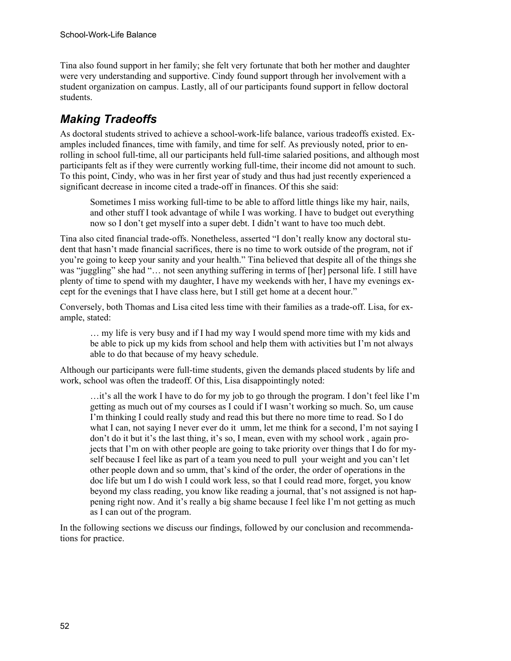Tina also found support in her family; she felt very fortunate that both her mother and daughter were very understanding and supportive. Cindy found support through her involvement with a student organization on campus. Lastly, all of our participants found support in fellow doctoral students.

## *Making Tradeoffs*

As doctoral students strived to achieve a school-work-life balance, various tradeoffs existed. Examples included finances, time with family, and time for self. As previously noted, prior to enrolling in school full-time, all our participants held full-time salaried positions, and although most participants felt as if they were currently working full-time, their income did not amount to such. To this point, Cindy, who was in her first year of study and thus had just recently experienced a significant decrease in income cited a trade-off in finances. Of this she said:

Sometimes I miss working full-time to be able to afford little things like my hair, nails, and other stuff I took advantage of while I was working. I have to budget out everything now so I don't get myself into a super debt. I didn't want to have too much debt.

Tina also cited financial trade-offs. Nonetheless, asserted "I don't really know any doctoral student that hasn't made financial sacrifices, there is no time to work outside of the program, not if you're going to keep your sanity and your health." Tina believed that despite all of the things she was "juggling" she had "… not seen anything suffering in terms of [her] personal life. I still have plenty of time to spend with my daughter, I have my weekends with her, I have my evenings except for the evenings that I have class here, but I still get home at a decent hour."

Conversely, both Thomas and Lisa cited less time with their families as a trade-off. Lisa, for example, stated:

… my life is very busy and if I had my way I would spend more time with my kids and be able to pick up my kids from school and help them with activities but I'm not always able to do that because of my heavy schedule.

Although our participants were full-time students, given the demands placed students by life and work, school was often the tradeoff. Of this, Lisa disappointingly noted:

…it's all the work I have to do for my job to go through the program. I don't feel like I'm getting as much out of my courses as I could if I wasn't working so much. So, um cause I'm thinking I could really study and read this but there no more time to read. So I do what I can, not saying I never ever do it umm, let me think for a second, I'm not saying I don't do it but it's the last thing, it's so, I mean, even with my school work , again projects that I'm on with other people are going to take priority over things that I do for myself because I feel like as part of a team you need to pull your weight and you can't let other people down and so umm, that's kind of the order, the order of operations in the doc life but um I do wish I could work less, so that I could read more, forget, you know beyond my class reading, you know like reading a journal, that's not assigned is not happening right now. And it's really a big shame because I feel like I'm not getting as much as I can out of the program.

In the following sections we discuss our findings, followed by our conclusion and recommendations for practice.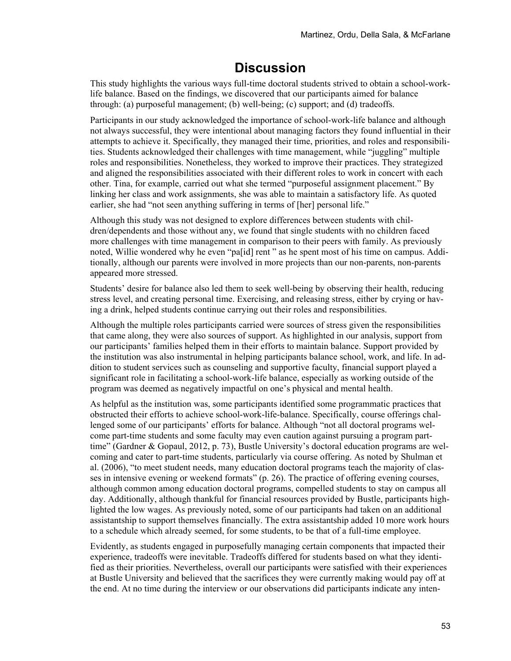## **Discussion**

This study highlights the various ways full-time doctoral students strived to obtain a school-worklife balance. Based on the findings, we discovered that our participants aimed for balance through: (a) purposeful management; (b) well-being; (c) support; and (d) tradeoffs.

Participants in our study acknowledged the importance of school-work-life balance and although not always successful, they were intentional about managing factors they found influential in their attempts to achieve it. Specifically, they managed their time, priorities, and roles and responsibilities. Students acknowledged their challenges with time management, while "juggling" multiple roles and responsibilities. Nonetheless, they worked to improve their practices. They strategized and aligned the responsibilities associated with their different roles to work in concert with each other. Tina, for example, carried out what she termed "purposeful assignment placement." By linking her class and work assignments, she was able to maintain a satisfactory life. As quoted earlier, she had "not seen anything suffering in terms of [her] personal life."

Although this study was not designed to explore differences between students with children/dependents and those without any, we found that single students with no children faced more challenges with time management in comparison to their peers with family. As previously noted, Willie wondered why he even "pa[id] rent " as he spent most of his time on campus. Additionally, although our parents were involved in more projects than our non-parents, non-parents appeared more stressed.

Students' desire for balance also led them to seek well-being by observing their health, reducing stress level, and creating personal time. Exercising, and releasing stress, either by crying or having a drink, helped students continue carrying out their roles and responsibilities.

Although the multiple roles participants carried were sources of stress given the responsibilities that came along, they were also sources of support. As highlighted in our analysis, support from our participants' families helped them in their efforts to maintain balance. Support provided by the institution was also instrumental in helping participants balance school, work, and life. In addition to student services such as counseling and supportive faculty, financial support played a significant role in facilitating a school-work-life balance, especially as working outside of the program was deemed as negatively impactful on one's physical and mental health.

As helpful as the institution was, some participants identified some programmatic practices that obstructed their efforts to achieve school-work-life-balance. Specifically, course offerings challenged some of our participants' efforts for balance. Although "not all doctoral programs welcome part-time students and some faculty may even caution against pursuing a program parttime" (Gardner & Gopaul, 2012, p. 73), Bustle University's doctoral education programs are welcoming and cater to part-time students, particularly via course offering. As noted by Shulman et al. (2006), "to meet student needs, many education doctoral programs teach the majority of classes in intensive evening or weekend formats" (p. 26). The practice of offering evening courses, although common among education doctoral programs, compelled students to stay on campus all day. Additionally, although thankful for financial resources provided by Bustle, participants highlighted the low wages. As previously noted, some of our participants had taken on an additional assistantship to support themselves financially. The extra assistantship added 10 more work hours to a schedule which already seemed, for some students, to be that of a full-time employee.

Evidently, as students engaged in purposefully managing certain components that impacted their experience, tradeoffs were inevitable. Tradeoffs differed for students based on what they identified as their priorities. Nevertheless, overall our participants were satisfied with their experiences at Bustle University and believed that the sacrifices they were currently making would pay off at the end. At no time during the interview or our observations did participants indicate any inten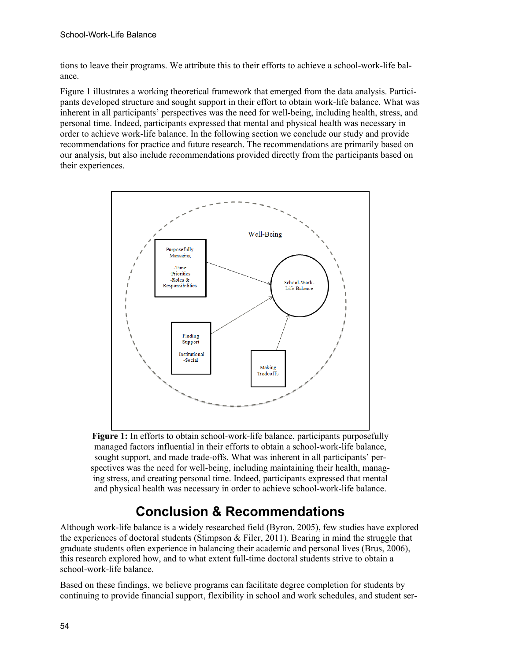tions to leave their programs. We attribute this to their efforts to achieve a school-work-life balance.

Figure 1 illustrates a working theoretical framework that emerged from the data analysis. Participants developed structure and sought support in their effort to obtain work-life balance. What was inherent in all participants' perspectives was the need for well-being, including health, stress, and personal time. Indeed, participants expressed that mental and physical health was necessary in order to achieve work-life balance. In the following section we conclude our study and provide recommendations for practice and future research. The recommendations are primarily based on our analysis, but also include recommendations provided directly from the participants based on their experiences.



**Figure 1:** In efforts to obtain school-work-life balance, participants purposefully managed factors influential in their efforts to obtain a school-work-life balance, sought support, and made trade-offs. What was inherent in all participants' perspectives was the need for well-being, including maintaining their health, managing stress, and creating personal time. Indeed, participants expressed that mental and physical health was necessary in order to achieve school-work-life balance.

# **Conclusion & Recommendations**

Although work-life balance is a widely researched field (Byron, 2005), few studies have explored the experiences of doctoral students (Stimpson & Filer, 2011). Bearing in mind the struggle that graduate students often experience in balancing their academic and personal lives (Brus, 2006), this research explored how, and to what extent full-time doctoral students strive to obtain a school-work-life balance.

Based on these findings, we believe programs can facilitate degree completion for students by continuing to provide financial support, flexibility in school and work schedules, and student ser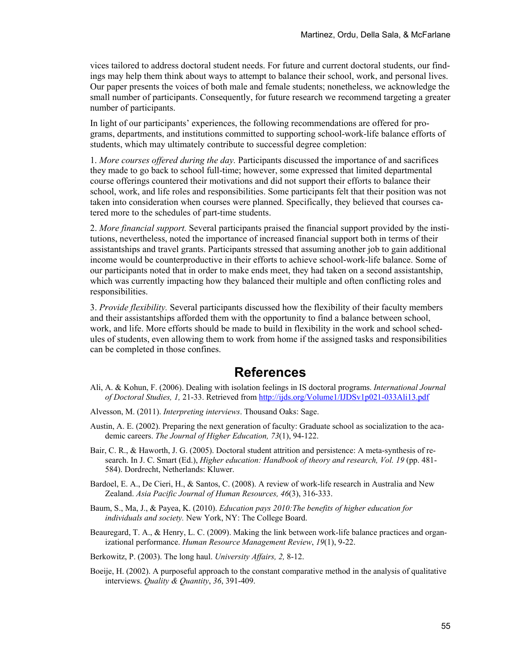vices tailored to address doctoral student needs. For future and current doctoral students, our findings may help them think about ways to attempt to balance their school, work, and personal lives. Our paper presents the voices of both male and female students; nonetheless, we acknowledge the small number of participants. Consequently, for future research we recommend targeting a greater number of participants.

In light of our participants' experiences, the following recommendations are offered for programs, departments, and institutions committed to supporting school-work-life balance efforts of students, which may ultimately contribute to successful degree completion:

1. *More courses offered during the day.* Participants discussed the importance of and sacrifices they made to go back to school full-time; however, some expressed that limited departmental course offerings countered their motivations and did not support their efforts to balance their school, work, and life roles and responsibilities. Some participants felt that their position was not taken into consideration when courses were planned. Specifically, they believed that courses catered more to the schedules of part-time students.

2. *More financial support.* Several participants praised the financial support provided by the institutions, nevertheless, noted the importance of increased financial support both in terms of their assistantships and travel grants. Participants stressed that assuming another job to gain additional income would be counterproductive in their efforts to achieve school-work-life balance. Some of our participants noted that in order to make ends meet, they had taken on a second assistantship, which was currently impacting how they balanced their multiple and often conflicting roles and responsibilities.

3. *Provide flexibility.* Several participants discussed how the flexibility of their faculty members and their assistantships afforded them with the opportunity to find a balance between school, work, and life. More efforts should be made to build in flexibility in the work and school schedules of students, even allowing them to work from home if the assigned tasks and responsibilities can be completed in those confines.

### **References**

- Ali, A. & Kohun, F. (2006). Dealing with isolation feelings in IS doctoral programs. *International Journal of Doctoral Studies, 1,* 21-33. Retrieved from<http://ijds.org/Volume1/IJDSv1p021-033Ali13.pdf>
- Alvesson, M. (2011). *Interpreting interviews*. Thousand Oaks: Sage.
- Austin, A. E. (2002). Preparing the next generation of faculty: Graduate school as socialization to the academic careers. *The Journal of Higher Education, 73*(1), 94-122.
- Bair, C. R., & Haworth, J. G. (2005). Doctoral student attrition and persistence: A meta-synthesis of research. In J. C. Smart (Ed.), *Higher education: Handbook of theory and research, Vol. 19* (pp. 481-584). Dordrecht, Netherlands: Kluwer.
- Bardoel, E. A., De Cieri, H., & Santos, C. (2008). A review of work-life research in Australia and New Zealand. *Asia Pacific Journal of Human Resources, 46*(3), 316-333.
- Baum, S., Ma, J., & Payea, K. (2010). *Education pays 2010:The benefits of higher education for individuals and society.* New York, NY: The College Board.
- Beauregard, T. A., & Henry, L. C. (2009). Making the link between work-life balance practices and organizational performance. *Human Resource Management Review*, *19*(1), 9-22.
- Berkowitz, P. (2003). The long haul. *University Affairs, 2,* 8-12.
- Boeije, H. (2002). A purposeful approach to the constant comparative method in the analysis of qualitative interviews. *Quality & Quantity*, *36*, 391-409.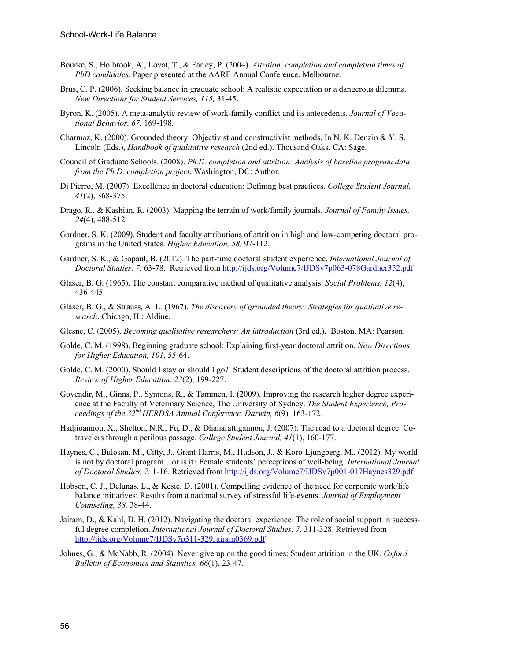- Bourke, S., Holbrook, A., Lovat, T., & Farley, P. (2004). *Attrition, completion and completion times of PhD candidates.* Paper presented at the AARE Annual Conference, Melbourne.
- Brus, C. P. (2006). Seeking balance in graduate school: A realistic expectation or a dangerous dilemma. *New Directions for Student Services, 115,* 31-45.
- Byron, K. (2005). A meta-analytic review of work-family conflict and its antecedents. *Journal of Vocational Behavior, 67,* 169-198.
- Charmaz, K. (2000). Grounded theory: Objectivist and constructivist methods. In N. K. Denzin & Y. S. Lincoln (Eds.), *Handbook of qualitative research* (2nd ed.). Thousand Oaks, CA: Sage.
- Council of Graduate Schools. (2008). *Ph.D. completion and attrition: Analysis of baseline program data from the Ph.D. completion project*. Washington, DC: Author.
- Di Pierro, M. (2007). Excellence in doctoral education: Defining best practices. *College Student Journal, 41*(2), 368-375.
- Drago, R., & Kashian, R. (2003). Mapping the terrain of work/family journals. *Journal of Family Issues, 24*(4), 488-512.
- Gardner, S. K. (2009). Student and faculty attributions of attrition in high and low-competing doctoral programs in the United States. *Higher Education, 58,* 97-112.
- Gardner, S. K., & Gopaul, B. (2012). The part-time doctoral student experience. *International Journal of Doctoral Studies. 7,* 63-78. Retrieved from <http://ijds.org/Volume7/IJDSv7p063-078Gardner352.pdf>
- Glaser, B. G. (1965). The constant comparative method of qualitative analysis. *Social Problems, 12*(4), 436-445.
- Glaser, B. G., & Strauss, A. L. (1967). *The discovery of grounded theory: Strategies for qualitative research*. Chicago, IL: Aldine.
- Glesne, C. (2005). *Becoming qualitative researchers: An introduction* (3rd ed.). Boston, MA: Pearson.
- Golde, C. M. (1998). Beginning graduate school: Explaining first-year doctoral attrition. *New Directions for Higher Education, 101,* 55-64.
- Golde, C. M. (2000). Should I stay or should I go?: Student descriptions of the doctoral attrition process. *Review of Higher Education, 23*(2), 199-227.
- Govendir, M., Ginns, P., Symons, R., & Tammen, I. (2009). Improving the research higher degree experience at the Faculty of Veterinary Science, The University of Sydney. *The Student Experience, Proceedings of the 32nd HERDSA Annual Conference, Darwin, 6*(9)*,* 163-172*.*
- Hadjioannou, X., Shelton, N.R., Fu, D,, & Dhanarattigannon, J. (2007). The road to a doctoral degree: Cotravelers through a perilous passage. *College Student Journal, 41*(1), 160-177.
- Haynes, C., Bulosan, M., Citty, J., Grant-Harris, M., Hudson, J., & Koro-Ljungberg, M., (2012). My world is not by doctoral program…or is it? Female students' perceptions of well-being. *International Journal of Doctoral Studies, 7,* 1-16. Retrieved from<http://ijds.org/Volume7/IJDSv7p001-017Haynes329.pdf>
- Hobson, C. J., Delunas, L., & Kesic, D. (2001). Compelling evidence of the need for corporate work/life balance initiatives: Results from a national survey of stressful life-events. *Journal of Employment Counseling, 38,* 38-44.
- Jairam, D., & Kahl, D. H. (2012). Navigating the doctoral experience: The role of social support in successful degree completion. *International Journal of Doctoral Studies, 7,* 311-328. Retrieved from <http://ijds.org/Volume7/IJDSv7p311-329Jairam0369.pdf>
- Johnes, G., & McNabb, R. (2004). Never give up on the good times: Student attrition in the UK. *Oxford Bulletin of Economics and Statistics, 66*(1), 23-47.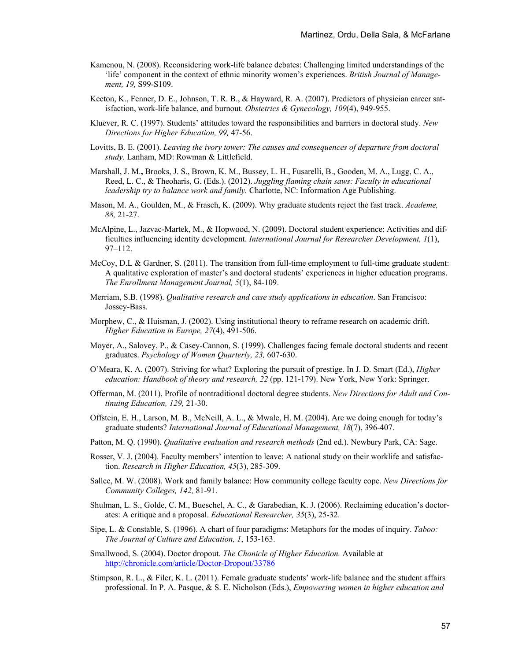- Kamenou, N. (2008). Reconsidering work-life balance debates: Challenging limited understandings of the 'life' component in the context of ethnic minority women's experiences. *British Journal of Management, 19,* S99-S109.
- Keeton, K., Fenner, D. E., Johnson, T. R. B., & Hayward, R. A. (2007). Predictors of physician career satisfaction, work-life balance, and burnout. *Obstetrics & Gynecology, 109*(4), 949-955.
- Kluever, R. C. (1997). Students' attitudes toward the responsibilities and barriers in doctoral study. *New Directions for Higher Education, 99,* 47-56.
- Lovitts, B. E. (2001). *Leaving the ivory tower: The causes and consequences of departure from doctoral study.* Lanham, MD: Rowman & Littlefield.
- Marshall, J. M.**,** Brooks, J. S., Brown, K. M., Bussey, L. H., Fusarelli, B., Gooden, M. A., Lugg, C. A., Reed, L. C., & Theoharis, G. (Eds.). (2012). *Juggling flaming chain saws: Faculty in educational leadership try to balance work and family.* Charlotte, NC: Information Age Publishing.
- Mason, M. A., Goulden, M., & Frasch, K. (2009). Why graduate students reject the fast track. *Academe, 88,* 21-27.
- McAlpine, L., Jazvac-Martek, M., & Hopwood, N. (2009). Doctoral student experience: Activities and difficulties influencing identity development. *International Journal for Researcher Development, 1*(1), 97–112.
- McCoy, D.L & Gardner, S. (2011). The transition from full-time employment to full-time graduate student: A qualitative exploration of master's and doctoral students' experiences in higher education programs. *The Enrollment Management Journal, 5*(1), 84-109.
- Merriam, S.B. (1998). *Qualitative research and case study applications in education*. San Francisco: Jossey-Bass.
- Morphew, C., & Huisman, J. (2002). Using institutional theory to reframe research on academic drift. *Higher Education in Europe, 27*(4), 491-506.
- Moyer, A., Salovey, P., & Casey-Cannon, S. (1999). Challenges facing female doctoral students and recent graduates. *Psychology of Women Quarterly, 23,* 607-630.
- O'Meara, K. A. (2007). Striving for what? Exploring the pursuit of prestige. In J. D. Smart (Ed.), *Higher education: Handbook of theory and research, 22* (pp. 121-179). New York, New York: Springer.
- Offerman, M. (2011). Profile of nontraditional doctoral degree students. *New Directions for Adult and Continuing Education, 129,* 21-30.
- Offstein, E. H., Larson, M. B., McNeill, A. L., & Mwale, H. M. (2004). Are we doing enough for today's graduate students? *International Journal of Educational Management, 18*(7), 396-407.
- Patton, M. Q. (1990). *Qualitative evaluation and research methods* (2nd ed.). Newbury Park, CA: Sage.
- Rosser, V. J. (2004). Faculty members' intention to leave: A national study on their worklife and satisfaction. *Research in Higher Education, 45*(3), 285-309.
- Sallee, M. W. (2008). Work and family balance: How community college faculty cope. *New Directions for Community Colleges, 142,* 81-91.
- Shulman, L. S., Golde, C. M., Bueschel, A. C., & Garabedian, K. J. (2006). Reclaiming education's doctorates: A critique and a proposal. *Educational Researcher, 35*(3), 25-32.
- Sipe, L. & Constable, S. (1996). A chart of four paradigms: Metaphors for the modes of inquiry. *Taboo: The Journal of Culture and Education, 1*, 153-163.
- Smallwood, S. (2004). Doctor dropout. *The Chonicle of Higher Education.* Available at <http://chronicle.com/article/Doctor-Dropout/33786>
- Stimpson, R. L., & Filer, K. L. (2011). Female graduate students' work-life balance and the student affairs professional. In P. A. Pasque, & S. E. Nicholson (Eds.), *Empowering women in higher education and*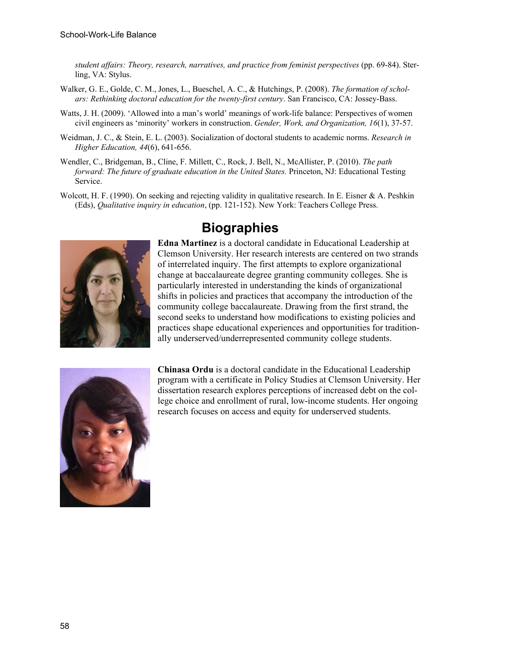*student affairs: Theory, research, narratives, and practice from feminist perspectives* (pp. 69-84). Sterling, VA: Stylus.

- Walker, G. E., Golde, C. M., Jones, L., Bueschel, A. C., & Hutchings, P. (2008). *The formation of scholars: Rethinking doctoral education for the twenty-first century*. San Francisco, CA: Jossey-Bass.
- Watts, J. H. (2009). 'Allowed into a man's world' meanings of work-life balance: Perspectives of women civil engineers as 'minority' workers in construction. *Gender, Work, and Organization, 16*(1), 37-57.
- Weidman, J. C., & Stein, E. L. (2003). Socialization of doctoral students to academic norms. *Research in Higher Education, 44*(6), 641-656.
- Wendler, C., Bridgeman, B., Cline, F. Millett, C., Rock, J. Bell, N., McAllister, P. (2010). *The path forward: The future of graduate education in the United States. Princeton, NJ: Educational Testing* Service.
- Wolcott, H. F. (1990). On seeking and rejecting validity in qualitative research. In E. Eisner & A. Peshkin (Eds), *Qualitative inquiry in education*, (pp. 121-152). New York: Teachers College Press.



## **Biographies**

**Edna Martinez** is a doctoral candidate in Educational Leadership at Clemson University. Her research interests are centered on two strands of interrelated inquiry. The first attempts to explore organizational change at baccalaureate degree granting community colleges. She is particularly interested in understanding the kinds of organizational shifts in policies and practices that accompany the introduction of the community college baccalaureate. Drawing from the first strand, the second seeks to understand how modifications to existing policies and practices shape educational experiences and opportunities for traditionally underserved/underrepresented community college students.



**Chinasa Ordu** is a doctoral candidate in the Educational Leadership program with a certificate in Policy Studies at Clemson University. Her dissertation research explores perceptions of increased debt on the college choice and enrollment of rural, low-income students. Her ongoing research focuses on access and equity for underserved students.